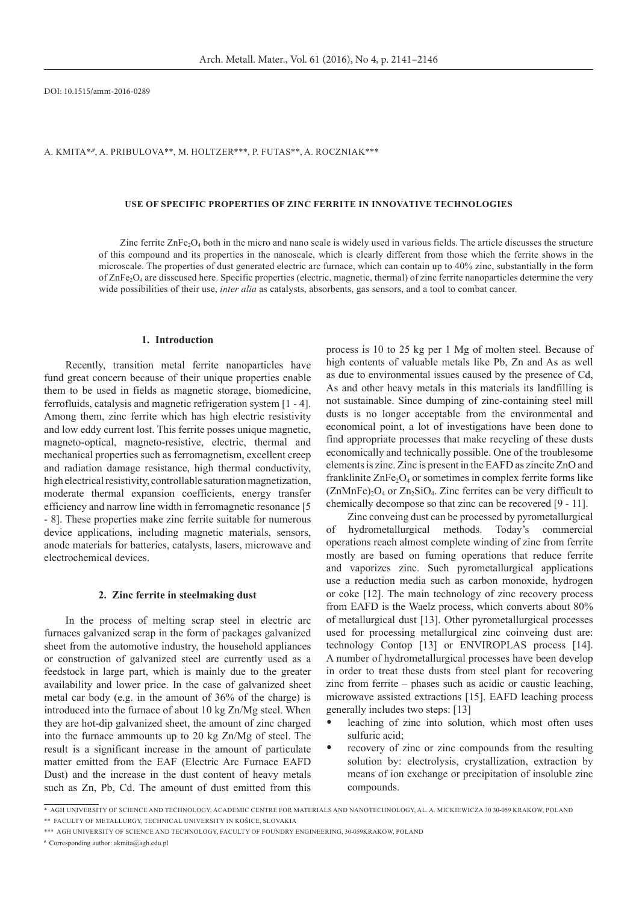DOI: 10.1515/amm-2016-0289

A. Kmita\***,#**, A. Pribulova\*\*, M. Holtzer\*\*\*, P. Futas\*\*, A. Roczniak\*\*\*

## **USE OF SPECIFIC PROPERTIES OF ZINC FERRITE IN INNOVATIVE TECHNOLOGIES**

Zinc ferrite  $\text{ZnFe}_2\text{O}_4$  both in the micro and nano scale is widely used in various fields. The article discusses the structure of this compound and its properties in the nanoscale, which is clearly different from those which the ferrite shows in the microscale. The properties of dust generated electric arc furnace, which can contain up to 40% zinc, substantially in the form of ZnFe2O4 are disscused here. Specific properties (electric, magnetic, thermal) of zinc ferrite nanoparticles determine the very wide possibilities of their use, *inter alia* as catalysts, absorbents, gas sensors, and a tool to combat cancer.

# **1. Introduction**

Recently, transition metal ferrite nanoparticles have fund great concern because of their unique properties enable them to be used in fields as magnetic storage, biomedicine, ferrofluids, catalysis and magnetic refrigeration system [1 - 4]. Among them, zinc ferrite which has high electric resistivity and low eddy current lost. This ferrite posses unique magnetic, magneto-optical, magneto-resistive, electric, thermal and mechanical properties such as ferromagnetism, excellent creep and radiation damage resistance, high thermal conductivity, high electrical resistivity, controllable saturation magnetization, moderate thermal expansion coefficients, energy transfer efficiency and narrow line width in ferromagnetic resonance [5 - 8]. These properties make zinc ferrite suitable for numerous device applications, including magnetic materials, sensors, anode materials for batteries, catalysts, lasers, microwave and electrochemical devices.

# **2. Zinc ferrite in steelmaking dust**

In the process of melting scrap steel in electric arc furnaces galvanized scrap in the form of packages galvanized sheet from the automotive industry, the household appliances or construction of galvanized steel are currently used as a feedstock in large part, which is mainly due to the greater availability and lower price. In the case of galvanized sheet metal car body (e.g. in the amount of 36% of the charge) is introduced into the furnace of about 10 kg Zn/Mg steel. When they are hot-dip galvanized sheet, the amount of zinc charged into the furnace ammounts up to 20 kg Zn/Mg of steel. The result is a significant increase in the amount of particulate matter emitted from the EAF (Electric Arc Furnace EAFD Dust) and the increase in the dust content of heavy metals such as Zn, Pb, Cd. The amount of dust emitted from this process is 10 to 25 kg per 1 Mg of molten steel. Because of high contents of valuable metals like Pb, Zn and As as well as due to environmental issues caused by the presence of Cd, As and other heavy metals in this materials its landfilling is not sustainable. Since dumping of zinc-containing steel mill dusts is no longer acceptable from the environmental and economical point, a lot of investigations have been done to find appropriate processes that make recycling of these dusts economically and technically possible. One of the troublesome elements is zinc. Zinc is present in the EAFD as zincite ZnO and franklinite  $\text{ZnFe}_2\text{O}_4$  or sometimes in complex ferrite forms like  $(ZnMnFe)_{2}O_{4}$  or  $Zn_{2}SiO_{4}$ . Zinc ferrites can be very difficult to chemically decompose so that zinc can be recovered [9 - 11].

Zinc conveing dust can be processed by pyrometallurgical of hydrometallurgical methods. Today's commercial operations reach almost complete winding of zinc from ferrite mostly are based on fuming operations that reduce ferrite and vaporizes zinc. Such pyrometallurgical applications use a reduction media such as carbon monoxide, hydrogen or coke [12]. The main technology of zinc recovery process from EAFD is the Waelz process, which converts about 80% of metallurgical dust [13]. Other pyrometallurgical processes used for processing metallurgical zinc coinveing dust are: technology Contop [13] or ENVIROPLAS process [14]. A number of hydrometallurgical processes have been develop in order to treat these dusts from steel plant for recovering zinc from ferrite – phases such as acidic or caustic leaching, microwave assisted extractions [15]. EAFD leaching process generally includes two steps: [13]

- leaching of zinc into solution, which most often uses sulfuric acid;
- recovery of zinc or zinc compounds from the resulting solution by: electrolysis, crystallization, extraction by means of ion exchange or precipitation of insoluble zinc compounds.

<sup>\*</sup> AGH University of Science and Technology, Academic Centre for Materials and Nanotechnology, Al. A. Mickiewicza 30 30-059 Krakow, Poland

<sup>\*\*</sup> Faculty of Metallurgy, Technical University in Košice, Slovakia

<sup>\*\*\*</sup> AGH University of Science and Technology, Faculty of Foundry Engineering, 30-059Krakow, Poland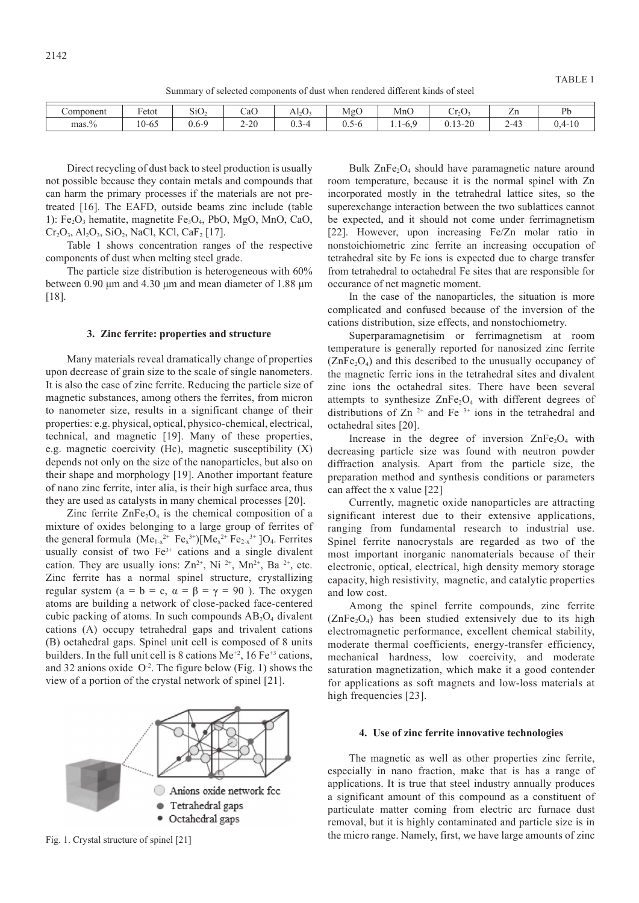Summary of selected components of dust when rendered different kinds of steel

| Component       | $\mathbf{r}$<br>Fetot  | $\sim$ . $\sim$<br>SU <sub>2</sub> | $\sim$<br>Ca∪ | $\sim$<br>$\text{Al}_2\text{O}_1$ | MgC                                                                                   | MnO                | $\sim$<br>$Cr_2O_1$               | -<br>.<br>$\overline{ }$ | $\mathbf{D}$<br>1) L |
|-----------------|------------------------|------------------------------------|---------------|-----------------------------------|---------------------------------------------------------------------------------------|--------------------|-----------------------------------|--------------------------|----------------------|
| $\text{mas.}\%$ | $\sim$ $\sim$<br>10-65 | $\sim$<br>$J.6 - 9$                | $2 - 20$      | ↑–4<br>U.J                        | $\overline{\phantom{a}}$<br>$\hat{\phantom{a}}$<br>D-0<br>$\mathsf{v}\cdot\mathsf{v}$ | Q<br>$-6.7$<br>1.1 | $\Omega$<br>$\sim$<br>$0.13 - 20$ | $\sqrt{2}$<br>$2 - 43$   | ∪.∹                  |

Direct recycling of dust back to steel production is usually not possible because they contain metals and compounds that can harm the primary processes if the materials are not pretreated [16]. The EAFD, outside beams zinc include (table 1):  $Fe<sub>2</sub>O<sub>3</sub>$  hematite, magnetite  $Fe<sub>3</sub>O<sub>4</sub>$ , PbO, MgO, MnO, CaO,  $Cr_2O_3$ ,  $Al_2O_3$ ,  $SiO_2$ , NaCl, KCl, CaF<sub>2</sub> [17].

Table 1 shows concentration ranges of the respective components of dust when melting steel grade.

The particle size distribution is heterogeneous with 60% between 0.90 μm and 4.30 μm and mean diameter of 1.88 μm [18].

# **3. Zinc ferrite: properties and structure**

Many materials reveal dramatically change of properties upon decrease of grain size to the scale of single nanometers. It is also the case of zinc ferrite. Reducing the particle size of magnetic substances, among others the ferrites, from micron to nanometer size, results in a significant change of their properties: e.g. physical, optical, physico-chemical, electrical, technical, and magnetic [19]. Many of these properties, e.g. magnetic coercivity (Hc), magnetic susceptibility (X) depends not only on the size of the nanoparticles, but also on their shape and morphology [19]. Another important feature of nano zinc ferrite, inter alia, is their high surface area, thus they are used as catalysts in many chemical processes [20].

Zinc ferrite  $ZnFe<sub>2</sub>O<sub>4</sub>$  is the chemical composition of a mixture of oxides belonging to a large group of ferrites of the general formula  $(Me_{1-x}^{2+}Fe_{x}^{3+})[Me_{x}^{2+}Fe_{2-x}^{3+}]O_4$ . Ferrites usually consist of two  $Fe^{3+}$  cations and a single divalent cation. They are usually ions:  $Zn^{2+}$ , Ni<sup>2+</sup>, Mn<sup>2+</sup>, Ba<sup>2+</sup>, etc. Zinc ferrite has a normal spinel structure, crystallizing regular system ( $a = b = c$ ,  $\alpha = \beta = \gamma = 90$ ). The oxygen atoms are building a network of close-packed face-centered cubic packing of atoms. In such compounds  $AB_2O_4$  divalent cations (A) occupy tetrahedral gaps and trivalent cations (B) octahedral gaps. Spinel unit cell is composed of 8 units builders. In the full unit cell is 8 cations  $Me^{+2}$ , 16 Fe<sup>+3</sup> cations, and 32 anions oxide  $O^2$ . The figure below (Fig. 1) shows the view of a portion of the crystal network of spinel [21].



Fig. 1. Crystal structure of spinel [21]

Bulk  $\text{ZnFe}_2\text{O}_4$  should have paramagnetic nature around room temperature, because it is the normal spinel with Zn incorporated mostly in the tetrahedral lattice sites, so the superexchange interaction between the two sublattices cannot be expected, and it should not come under ferrimagnetism [22]. However, upon increasing Fe/Zn molar ratio in nonstoichiometric zinc ferrite an increasing occupation of tetrahedral site by Fe ions is expected due to charge transfer from tetrahedral to octahedral Fe sites that are responsible for occurance of net magnetic moment.

In the case of the nanoparticles, the situation is more complicated and confused because of the inversion of the cations distribution, size effects, and nonstochiometry.

Superparamagnetisim or ferrimagnetism at room temperature is generally reported for nanosized zinc ferrite  $(ZnFe<sub>2</sub>O<sub>4</sub>)$  and this described to the unusually occupancy of the magnetic ferric ions in the tetrahedral sites and divalent zinc ions the octahedral sites. There have been several attempts to synthesize  $ZnFe<sub>2</sub>O<sub>4</sub>$  with different degrees of distributions of  $Zn^{2+}$  and Fe<sup>3+</sup> ions in the tetrahedral and octahedral sites [20].

Increase in the degree of inversion  $ZnFe<sub>2</sub>O<sub>4</sub>$  with decreasing particle size was found with neutron powder diffraction analysis. Apart from the particle size, the preparation method and synthesis conditions or parameters can affect the x value [22]

Currently, magnetic oxide nanoparticles are attracting significant interest due to their extensive applications, ranging from fundamental research to industrial use. Spinel ferrite nanocrystals are regarded as two of the most important inorganic nanomaterials because of their electronic, optical, electrical, high density memory storage capacity, high resistivity, magnetic, and catalytic properties and low cost.

Among the spinel ferrite compounds, zinc ferrite  $(ZnFe<sub>2</sub>O<sub>4</sub>)$  has been studied extensively due to its high electromagnetic performance, excellent chemical stability, moderate thermal coefficients, energy-transfer efficiency, mechanical hardness, low coercivity, and moderate saturation magnetization, which make it a good contender for applications as soft magnets and low-loss materials at high frequencies [23].

#### **4. Use of zinc ferrite innovative technologies**

The magnetic as well as other properties zinc ferrite, especially in nano fraction, make that is has a range of applications. It is true that steel industry annually produces a significant amount of this compound as a constituent of particulate matter coming from electric arc furnace dust removal, but it is highly contaminated and particle size is in the micro range. Namely, first, we have large amounts of zinc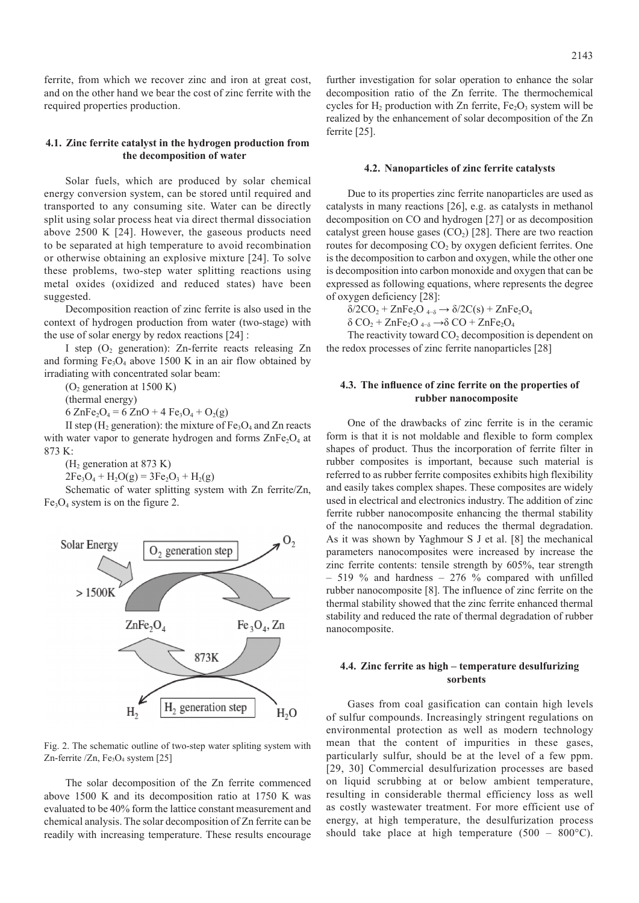ferrite, from which we recover zinc and iron at great cost, and on the other hand we bear the cost of zinc ferrite with the required properties production.

# **4.1. Zinc ferrite catalyst in the hydrogen production from the decomposition of water**

Solar fuels, which are produced by solar chemical energy conversion system, can be stored until required and transported to any consuming site. Water can be directly split using solar process heat via direct thermal dissociation above 2500 K [24]. However, the gaseous products need to be separated at high temperature to avoid recombination or otherwise obtaining an explosive mixture [24]. To solve these problems, two-step water splitting reactions using metal oxides (oxidized and reduced states) have been suggested.

Decomposition reaction of zinc ferrite is also used in the context of hydrogen production from water (two-stage) with the use of solar energy by redox reactions [24] :

I step  $(O_2)$  generation): Zn-ferrite reacts releasing Zn and forming  $Fe<sub>3</sub>O<sub>4</sub>$  above 1500 K in an air flow obtained by irradiating with concentrated solar beam:

 $(O<sub>2</sub> generation at 1500 K)$ 

(thermal energy)

6  $\text{ZnFe}_2\text{O}_4 = 6 \text{ ZnO} + 4 \text{Fe}_3\text{O}_4 + \text{O}_2(g)$ 

II step ( $H_2$  generation): the mixture of  $Fe<sub>3</sub>O<sub>4</sub>$  and Zn reacts with water vapor to generate hydrogen and forms  $\text{ZnFe}_2\text{O}_4$  at 873 K:

 $(H<sub>2</sub>$  generation at 873 K)

 $2Fe<sub>3</sub>O<sub>4</sub> + H<sub>2</sub>O(g) = 3Fe<sub>2</sub>O<sub>3</sub> + H<sub>2</sub>(g)$ 

Schematic of water splitting system with Zn ferrite/Zn,  $Fe<sub>3</sub>O<sub>4</sub>$  system is on the figure 2.



Fig. 2. The schematic outline of two-step water spliting system with Zn-ferrite /Zn, Fe<sub>3</sub>O<sub>4</sub> system [25]

The solar decomposition of the Zn ferrite commenced above 1500 K and its decomposition ratio at 1750 K was evaluated to be 40% form the lattice constant measurement and chemical analysis. The solar decomposition of Zn ferrite can be readily with increasing temperature. These results encourage further investigation for solar operation to enhance the solar decomposition ratio of the Zn ferrite. The thermochemical cycles for  $H_2$  production with Zn ferrite,  $Fe<sub>2</sub>O<sub>3</sub>$  system will be realized by the enhancement of solar decomposition of the Zn ferrite [25].

#### **4.2. Nanoparticles of zinc ferrite catalysts**

Due to its properties zinc ferrite nanoparticles are used as catalysts in many reactions [26], e.g. as catalysts in methanol decomposition on CO and hydrogen [27] or as decomposition catalyst green house gases  $(CO<sub>2</sub>)$  [28]. There are two reaction routes for decomposing  $CO<sub>2</sub>$  by oxygen deficient ferrites. One is the decomposition to carbon and oxygen, while the other one is decomposition into carbon monoxide and oxygen that can be expressed as following equations, where represents the degree of oxygen deficiency [28]:

 $\delta$ /2CO<sub>2</sub> + ZnFe<sub>2</sub>O<sub>4-δ</sub> →  $\delta$ /2C(s) + ZnFe<sub>2</sub>O<sub>4</sub>

 $\delta$  CO<sub>2</sub> + ZnFe<sub>2</sub>O<sub>4−δ</sub> → $\delta$  CO + ZnFe<sub>2</sub>O<sub>4</sub>

The reactivity toward  $CO<sub>2</sub>$  decomposition is dependent on the redox processes of zinc ferrite nanoparticles [28]

# **4.3. The influence of zinc ferrite on the properties of rubber nanocomposite**

One of the drawbacks of zinc ferrite is in the ceramic form is that it is not moldable and flexible to form complex shapes of product. Thus the incorporation of ferrite filter in rubber composites is important, because such material is referred to as rubber ferrite composites exhibits high flexibility and easily takes complex shapes. These composites are widely used in electrical and electronics industry. The addition of zinc ferrite rubber nanocomposite enhancing the thermal stability of the nanocomposite and reduces the thermal degradation. As it was shown by Yaghmour S J et al. [8] the mechanical parameters nanocomposites were increased by increase the zinc ferrite contents: tensile strength by 605%, tear strength – 519 % and hardness – 276 % compared with unfilled rubber nanocomposite [8]. The influence of zinc ferrite on the thermal stability showed that the zinc ferrite enhanced thermal stability and reduced the rate of thermal degradation of rubber nanocomposite.

# **4.4. Zinc ferrite as high – temperature desulfurizing sorbents**

Gases from coal gasification can contain high levels of sulfur compounds. Increasingly stringent regulations on environmental protection as well as modern technology mean that the content of impurities in these gases, particularly sulfur, should be at the level of a few ppm. [29, 30] Commercial desulfurization processes are based on liquid scrubbing at or below ambient temperature, resulting in considerable thermal efficiency loss as well as costly wastewater treatment. For more efficient use of energy, at high temperature, the desulfurization process should take place at high temperature  $(500 - 800^{\circ}C)$ .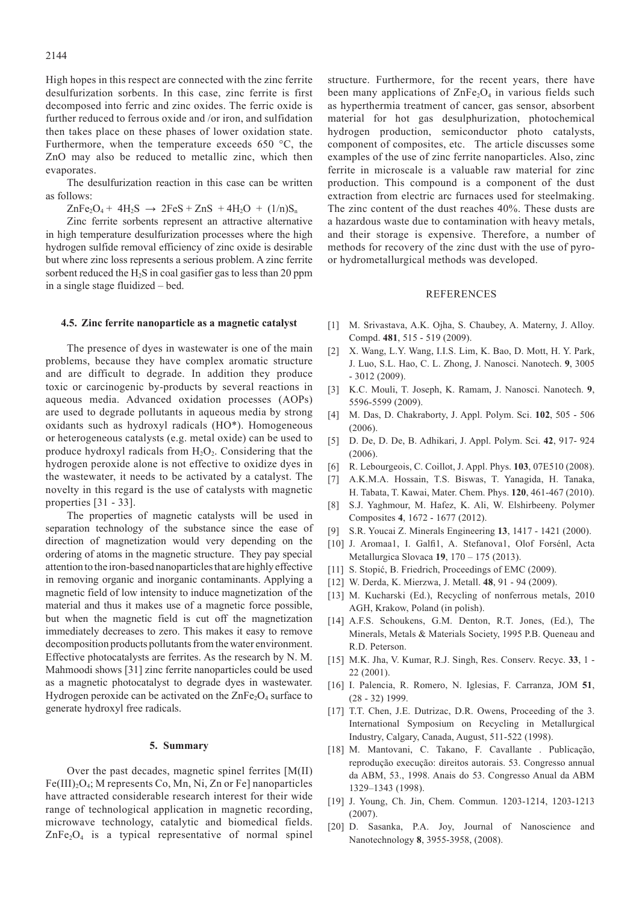High hopes in this respect are connected with the zinc ferrite desulfurization sorbents. In this case, zinc ferrite is first decomposed into ferric and zinc oxides. The ferric oxide is further reduced to ferrous oxide and /or iron, and sulfidation then takes place on these phases of lower oxidation state. Furthermore, when the temperature exceeds 650 °C, the ZnO may also be reduced to metallic zinc, which then evaporates.

The desulfurization reaction in this case can be written as follows:

 $ZnFe<sub>2</sub>O<sub>4</sub> + 4H<sub>2</sub>S \rightarrow 2FeS + ZnS + 4H<sub>2</sub>O + (1/n)S<sub>n</sub>$ 

Zinc ferrite sorbents represent an attractive alternative in high temperature desulfurization processes where the high hydrogen sulfide removal efficiency of zinc oxide is desirable but where zinc loss represents a serious problem. A zinc ferrite sorbent reduced the  $H_2S$  in coal gasifier gas to less than 20 ppm in a single stage fluidized – bed.

# **4.5. Zinc ferrite nanoparticle as a magnetic catalyst**

The presence of dyes in wastewater is one of the main problems, because they have complex aromatic structure and are difficult to degrade. In addition they produce toxic or carcinogenic by-products by several reactions in aqueous media. Advanced oxidation processes (AOPs) are used to degrade pollutants in aqueous media by strong oxidants such as hydroxyl radicals (HO\*). Homogeneous or heterogeneous catalysts (e.g. metal oxide) can be used to produce hydroxyl radicals from  $H_2O_2$ . Considering that the hydrogen peroxide alone is not effective to oxidize dyes in the wastewater, it needs to be activated by a catalyst. The novelty in this regard is the use of catalysts with magnetic properties [31 - 33].

The properties of magnetic catalysts will be used in separation technology of the substance since the ease of direction of magnetization would very depending on the ordering of atoms in the magnetic structure. They pay special attention to the iron-based nanoparticles that are highly effective in removing organic and inorganic contaminants. Applying a magnetic field of low intensity to induce magnetization of the material and thus it makes use of a magnetic force possible, but when the magnetic field is cut off the magnetization immediately decreases to zero. This makes it easy to remove decomposition products pollutants from the water environment. Effective photocatalysts are ferrites. As the research by N. M. Mahmoodi shows [31] zinc ferrite nanoparticles could be used as a magnetic photocatalyst to degrade dyes in wastewater. Hydrogen peroxide can be activated on the  $\text{ZnFe}_2\text{O}_4$  surface to generate hydroxyl free radicals.

## **5. Summary**

Over the past decades, magnetic spinel ferrites [M(II)  $Fe(III)<sub>2</sub>O<sub>4</sub>;$  M represents Co, Mn, Ni, Zn or Fe] nanoparticles have attracted considerable research interest for their wide range of technological application in magnetic recording, microwave technology, catalytic and biomedical fields.  $ZnFe<sub>2</sub>O<sub>4</sub>$  is a typical representative of normal spinel structure. Furthermore, for the recent years, there have been many applications of  $\text{ZnFe}_2\text{O}_4$  in various fields such as hyperthermia treatment of cancer, gas sensor, absorbent material for hot gas desulphurization, photochemical hydrogen production, semiconductor photo catalysts, component of composites, etc. The article discusses some examples of the use of zinc ferrite nanoparticles. Also, zinc ferrite in microscale is a valuable raw material for zinc production. This compound is a component of the dust extraction from electric arc furnaces used for steelmaking. The zinc content of the dust reaches 40%. These dusts are a hazardous waste due to contamination with heavy metals, and their storage is expensive. Therefore, a number of methods for recovery of the zinc dust with the use of pyroor hydrometallurgical methods was developed.

#### **REFERENCES**

- [1] M. Srivastava, A.K. Ojha, S. Chaubey, A. Materny, J. Alloy. Compd. **481**, 515 - 519 (2009).
- [2] X. Wang, L.Y. Wang, I.I.S. Lim, K. Bao, D. Mott, H. Y. Park, J. Luo, S.L. Hao, C. L. Zhong, J. Nanosci. Nanotech. **9**, 3005 - 3012 (2009).
- [3] K.C. Mouli, T. Joseph, K. Ramam, J. Nanosci. Nanotech. **9**, 5596-5599 (2009).
- [4] M. Das, D. Chakraborty, J. Appl. Polym. Sci. **102**, 505 506 (2006).
- [5] D. De, D. De, B. Adhikari, J. Appl. Polym. Sci. **42**, 917- 924 (2006).
- [6] R. Lebourgeois, C. Coillot, J. Appl. Phys. **103**, 07E510 (2008).
- [7] A.K.M.A. Hossain, T.S. Biswas, T. Yanagida, H. Tanaka, H. Tabata, T. Kawai, Mater. Chem. Phys. **120**, 461-467 (2010).
- [8] S.J. Yaghmour, M. Hafez, K. Ali, W. Elshirbeeny. Polymer Composites **4**, 1672 - 1677 (2012).
- [9] S.R. Youcai Z. Minerals Engineering **13**, 1417 1421 (2000).
- [10] J. Aromaa1, I. Galfi1, A. Stefanova1, Olof Forsénl, Acta Metallurgica Slovaca **19**, 170 – 175 (2013).
- [11] S. Stopić, B. Friedrich, Proceedings of EMC (2009).
- [12] W. Derda, K. Mierzwa, J. Metall. **48**, 91 94 (2009).
- [13] M. Kucharski (Ed.), Recycling of nonferrous metals, 2010 AGH, Krakow, Poland (in polish).
- [14] A.F.S. Schoukens, G.M. Denton, R.T. Jones, (Ed.), The Minerals, Metals & Materials Society, 1995 P.B. Queneau and R.D. Peterson.
- [15] M.K. Jha, V. Kumar, R.J. Singh, Res. Conserv. Recyc. **33**, 1 22 (2001).
- [16] I. Palencia, R. Romero, N. Iglesias, F. Carranza, JOM **51**, (28 - 32) 1999.
- [17] T.T. Chen, J.E. Dutrizac, D.R. Owens, Proceeding of the 3. International Symposium on Recycling in Metallurgical Industry, Calgary, Canada, August, 511-522 (1998).
- [18] M. Mantovani, C. Takano, F. Cavallante . Publicação, reprodução execução: direitos autorais. 53. Congresso annual da ABM, 53., 1998. Anais do 53. Congresso Anual da ABM 1329–1343 (1998).
- [19] J. Young, Ch. Jin, Chem. Commun. 1203-1214, 1203-1213 (2007).
- [20] D. Sasanka, P.A. Joy, Journal of Nanoscience and Nanotechnology **8**, 3955-3958, (2008).